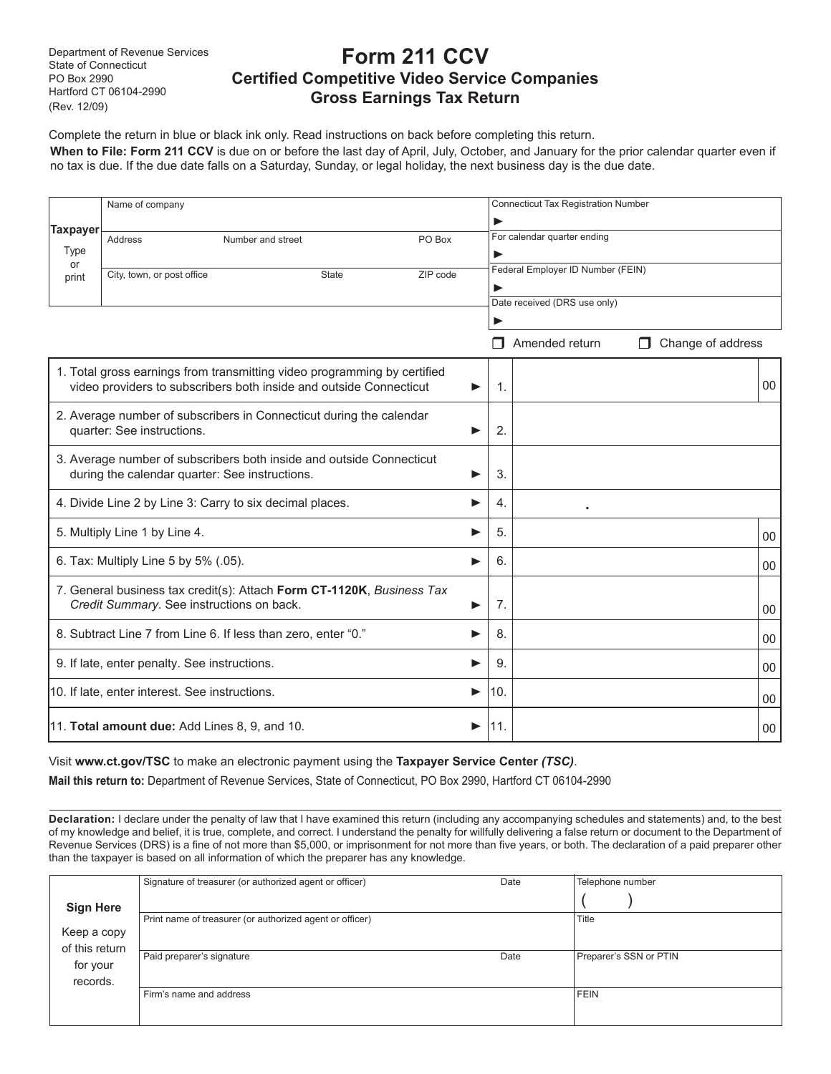Department of Revenue Services State of Connecticut PO Box 2990 Hartford CT 06104-2990 (Rev. 12/09)

## **Form 211 CCV Certified Competitive Video Service Companies Gross Earnings Tax Return**

Complete the return in blue or black ink only. Read instructions on back before completing this return. **When to File: Form 211 CCV** is due on or before the last day of April, July, October, and January for the prior calendar quarter even if no tax is due. If the due date falls on a Saturday, Sunday, or legal holiday, the next business day is the due date.

|                                                                                                                                                     | Name of company                                               |  |              |          | <b>Connecticut Tax Registration Number</b> |                |                        |    |  |
|-----------------------------------------------------------------------------------------------------------------------------------------------------|---------------------------------------------------------------|--|--------------|----------|--------------------------------------------|----------------|------------------------|----|--|
| <b>Taxpayer</b><br><b>Type</b>                                                                                                                      | PO Box<br>Address<br>Number and street                        |  |              |          | For calendar quarter ending<br>▶           |                |                        |    |  |
| or<br>print                                                                                                                                         | City, town, or post office                                    |  | <b>State</b> | ZIP code | Federal Employer ID Number (FEIN)<br>▶     |                |                        |    |  |
|                                                                                                                                                     |                                                               |  |              |          | Date received (DRS use only)               |                |                        |    |  |
|                                                                                                                                                     |                                                               |  |              |          |                                            | Amended return | Change of address<br>П |    |  |
| 1. Total gross earnings from transmitting video programming by certified<br>video providers to subscribers both inside and outside Connecticut<br>▶ |                                                               |  |              |          | $\mathbf{1}$ .                             |                |                        | 00 |  |
| 2. Average number of subscribers in Connecticut during the calendar<br>quarter: See instructions.<br>▶                                              |                                                               |  |              |          | 2.                                         |                |                        |    |  |
| 3. Average number of subscribers both inside and outside Connecticut<br>during the calendar quarter: See instructions.<br>▶                         |                                                               |  |              |          | 3.                                         |                |                        |    |  |
|                                                                                                                                                     | 4. Divide Line 2 by Line 3: Carry to six decimal places.      |  |              | ▶        | 4.                                         |                |                        |    |  |
| 5. Multiply Line 1 by Line 4.                                                                                                                       |                                                               |  | ▶            | 5.       |                                            |                | 00                     |    |  |
|                                                                                                                                                     | 6. Tax: Multiply Line 5 by 5% (.05).                          |  |              | ▶        | 6.                                         |                |                        | 00 |  |
| 7. General business tax credit(s): Attach Form CT-1120K, Business Tax<br>Credit Summary. See instructions on back.<br>▶                             |                                                               |  |              |          | 7.                                         |                |                        | 00 |  |
|                                                                                                                                                     | 8. Subtract Line 7 from Line 6. If less than zero, enter "0." |  |              | ▶        | 8.                                         |                |                        | 00 |  |
| 9. If late, enter penalty. See instructions.<br>▶                                                                                                   |                                                               |  |              |          | 9.                                         |                |                        | 00 |  |
| 10. If late, enter interest. See instructions.<br>▶                                                                                                 |                                                               |  |              |          | 10.                                        |                |                        | 00 |  |
|                                                                                                                                                     | 11. Total amount due: Add Lines 8, 9, and 10.                 |  |              | ▶        | 11.                                        |                |                        | 00 |  |

#### Visit **www.ct.gov/TSC** to make an electronic payment using the **Taxpayer Service Center** *(TSC)*.

**Mail this return to:** Department of Revenue Services, State of Connecticut, PO Box 2990, Hartford CT 06104-2990

**Declaration:** I declare under the penalty of law that I have examined this return (including any accompanying schedules and statements) and, to the best of my knowledge and belief, it is true, complete, and correct. I understand the penalty for willfully delivering a false return or document to the Department of Revenue Services (DRS) is a fine of not more than \$5,000, or imprisonment for not more than five years, or both. The declaration of a paid preparer other than the taxpayer is based on all information of which the preparer has any knowledge.

|                  | Signature of treasurer (or authorized agent or officer)  | Date  | Telephone number       |
|------------------|----------------------------------------------------------|-------|------------------------|
| <b>Sign Here</b> |                                                          |       |                        |
|                  | Print name of treasurer (or authorized agent or officer) | Title |                        |
| Keep a copy      |                                                          |       |                        |
| of this return   |                                                          |       |                        |
| for your         | Paid preparer's signature                                | Date  | Preparer's SSN or PTIN |
| records.         |                                                          |       |                        |
|                  | Firm's name and address                                  |       | FEIN                   |
|                  |                                                          |       |                        |
|                  |                                                          |       |                        |